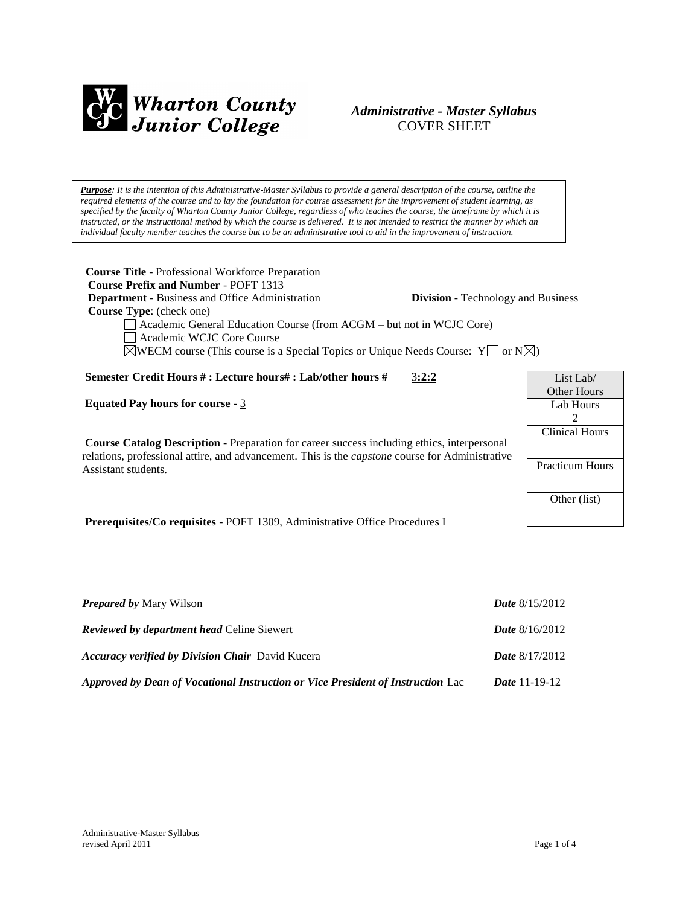

# *Administrative - Master Syllabus*  COVER SHEET

*Purpose: It is the intention of this Administrative-Master Syllabus to provide a general description of the course, outline the required elements of the course and to lay the foundation for course assessment for the improvement of student learning, as specified by the faculty of Wharton County Junior College, regardless of who teaches the course, the timeframe by which it is instructed, or the instructional method by which the course is delivered. It is not intended to restrict the manner by which an individual faculty member teaches the course but to be an administrative tool to aid in the improvement of instruction.*

**Course Title** - Professional Workforce Preparation  **Course Prefix and Number** - POFT 1313 **Department** - Business and Office Administration **Division** - Technology and Business  **Course Type**: (check one) Academic General Education Course (from ACGM – but not in WCJC Core) Academic WCJC Core Course  $\boxtimes$ WECM course (This course is a Special Topics or Unique Needs Course: Y  $\Box$  or N $\boxtimes$ ) **Semester Credit Hours # : Lecture hours# : Lab/other hours #** 3**:2:2 Equated Pay hours for course** - 3 **Course Catalog Description** - Preparation for career success including ethics, interpersonal relations, professional attire, and advancement. This is the *capstone* course for Administrative Assistant students. **Prerequisites/Co requisites** - POFT 1309, Administrative Office Procedures I List Lab/ Other Hours Lab Hours 2 Clinical Hours Practicum Hours Other (list)

| <b>Prepared by Mary Wilson</b>                                                  | <b>Date</b> $8/15/2012$ |
|---------------------------------------------------------------------------------|-------------------------|
| <b>Reviewed by department head Celine Siewert</b>                               | <b>Date</b> $8/16/2012$ |
| <b>Accuracy verified by Division Chair</b> David Kucera                         | <b>Date</b> $8/17/2012$ |
| Approved by Dean of Vocational Instruction or Vice President of Instruction Lac | <i>Date</i> 11-19-12    |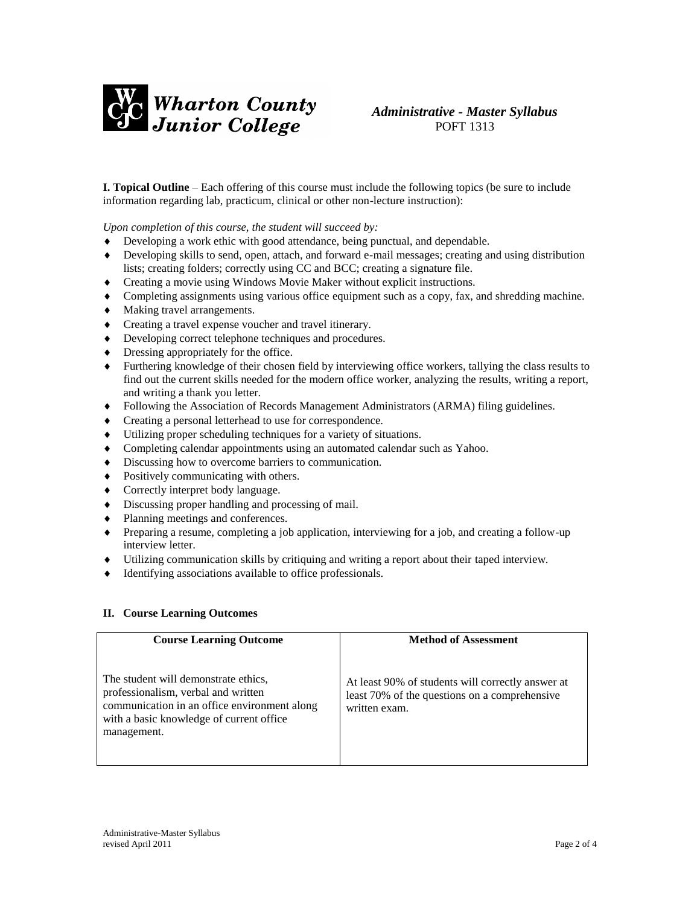

**I. Topical Outline** – Each offering of this course must include the following topics (be sure to include information regarding lab, practicum, clinical or other non-lecture instruction):

*Upon completion of this course, the student will succeed by:*

- Developing a work ethic with good attendance, being punctual, and dependable.
- Developing skills to send, open, attach, and forward e-mail messages; creating and using distribution lists; creating folders; correctly using CC and BCC; creating a signature file.
- Creating a movie using Windows Movie Maker without explicit instructions.
- Completing assignments using various office equipment such as a copy, fax, and shredding machine.
- Making travel arrangements.
- Creating a travel expense voucher and travel itinerary.
- Developing correct telephone techniques and procedures.
- Dressing appropriately for the office.
- Furthering knowledge of their chosen field by interviewing office workers, tallying the class results to find out the current skills needed for the modern office worker, analyzing the results, writing a report, and writing a thank you letter.
- Following the Association of Records Management Administrators (ARMA) filing guidelines.
- Creating a personal letterhead to use for correspondence.
- Utilizing proper scheduling techniques for a variety of situations.
- Completing calendar appointments using an automated calendar such as Yahoo.
- $\bullet$  Discussing how to overcome barriers to communication.
- Positively communicating with others.
- Correctly interpret body language.
- Discussing proper handling and processing of mail.
- Planning meetings and conferences.
- Preparing a resume, completing a job application, interviewing for a job, and creating a follow-up interview letter.
- Utilizing communication skills by critiquing and writing a report about their taped interview.
- Identifying associations available to office professionals.

#### **II. Course Learning Outcomes**

| <b>Course Learning Outcome</b>                                                                                                                                                          | <b>Method of Assessment</b>                                                                                         |
|-----------------------------------------------------------------------------------------------------------------------------------------------------------------------------------------|---------------------------------------------------------------------------------------------------------------------|
| The student will demonstrate ethics,<br>professionalism, verbal and written<br>communication in an office environment along<br>with a basic knowledge of current office.<br>management. | At least 90% of students will correctly answer at<br>least 70% of the questions on a comprehensive<br>written exam. |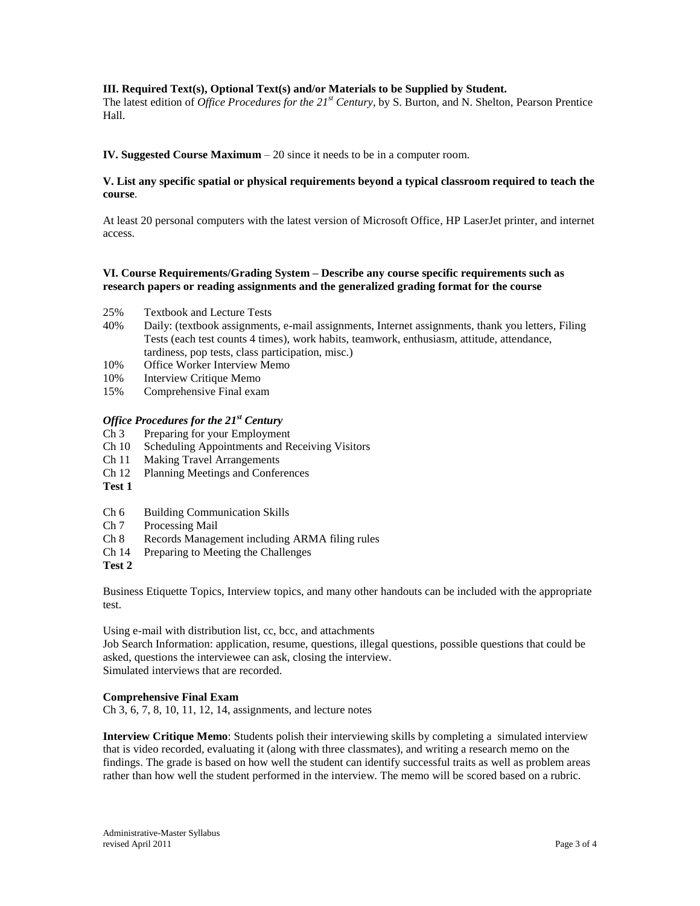# **III. Required Text(s), Optional Text(s) and/or Materials to be Supplied by Student.**

The latest edition of *Office Procedures for the 21st Century,* by S. Burton, and N. Shelton, Pearson Prentice Hall.

# **IV. Suggested Course Maximum** – 20 since it needs to be in a computer room.

# **V. List any specific spatial or physical requirements beyond a typical classroom required to teach the course**.

At least 20 personal computers with the latest version of Microsoft Office, HP LaserJet printer, and internet access.

# **VI. Course Requirements/Grading System – Describe any course specific requirements such as research papers or reading assignments and the generalized grading format for the course**

- 25% Textbook and Lecture Tests
- 40% Daily: (textbook assignments, e-mail assignments, Internet assignments, thank you letters, Filing Tests (each test counts 4 times), work habits, teamwork, enthusiasm, attitude, attendance, tardiness, pop tests, class participation, misc.)
- 10% Office Worker Interview Memo
- 10% Interview Critique Memo
- 15% Comprehensive Final exam

#### *Office Procedures for the 21st Century*

- Ch 3 Preparing for your Employment
- Ch 10 Scheduling Appointments and Receiving Visitors
- Ch 11 Making Travel Arrangements
- Ch 12 Planning Meetings and Conferences
- **Test 1**
- Ch 6 Building Communication Skills
- Ch 7 Processing Mail
- Ch 8 Records Management including ARMA filing rules
- Ch 14 Preparing to Meeting the Challenges

**Test 2**

Business Etiquette Topics, Interview topics, and many other handouts can be included with the appropriate test.

Using e-mail with distribution list, cc, bcc, and attachments

Job Search Information: application, resume, questions, illegal questions, possible questions that could be asked, questions the interviewee can ask, closing the interview. Simulated interviews that are recorded.

#### **Comprehensive Final Exam**

Ch 3, 6, 7, 8, 10, 11, 12, 14, assignments, and lecture notes

**Interview Critique Memo**: Students polish their interviewing skills by completing a simulated interview that is video recorded, evaluating it (along with three classmates), and writing a research memo on the findings. The grade is based on how well the student can identify successful traits as well as problem areas rather than how well the student performed in the interview. The memo will be scored based on a rubric.